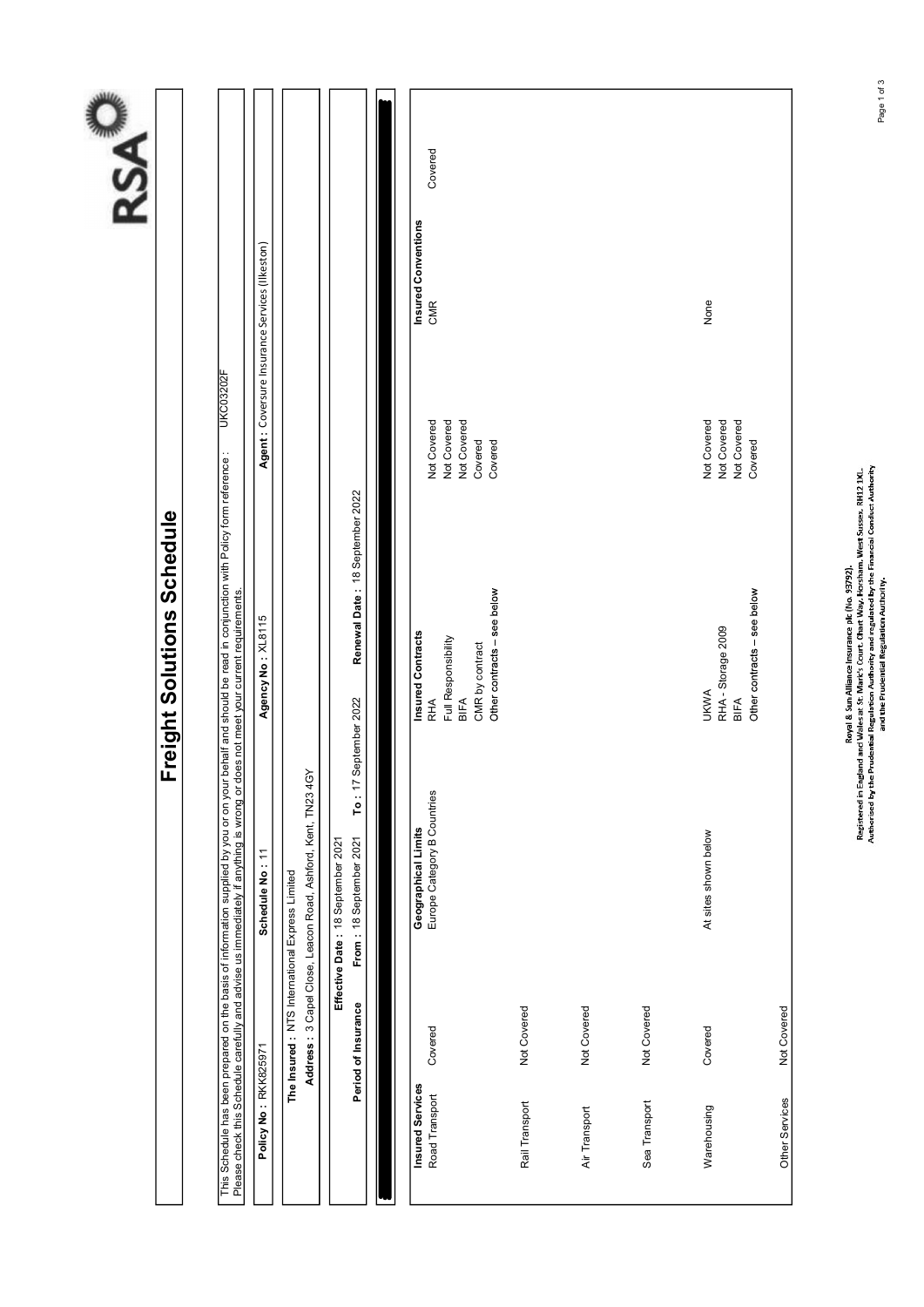| KC032021                                                                                                                                                             | Agent: Coversure Insurance Services (Ilkeston) |  |
|----------------------------------------------------------------------------------------------------------------------------------------------------------------------|------------------------------------------------|--|
|                                                                                                                                                                      |                                                |  |
| your behalf and should be read in conjunction with Policy form reference :<br>or does not meet your current requirements.                                            | Agency No: XL8115                              |  |
| ils Schedule has been prepared on the basis of information supplied by you or on<br>ase check this Schedule carefully and advise us immediately if anything is wrong | Schedule No: 11                                |  |
|                                                                                                                                                                      | Policy No: RKK825971                           |  |

|                  | s<br>S                                                   |
|------------------|----------------------------------------------------------|
|                  | www.com.com.com<br>$\frac{1}{2}$<br>$\ddot{\phantom{0}}$ |
|                  | 202                                                      |
| Lileville Date . | $\frac{1}{2}$<br>Except <sup>1</sup>                     |
|                  | Delle Sales<br>--                                        |

|                                    |                                                |                                                              | This Schedule has been prepared on the basis of information supplied by you or on your behalf and should be read in conjunction with Policy form reference :<br>Please check this Schedule carefully and advise us immediately if    |                                                                 |                                                 |             |
|------------------------------------|------------------------------------------------|--------------------------------------------------------------|--------------------------------------------------------------------------------------------------------------------------------------------------------------------------------------------------------------------------------------|-----------------------------------------------------------------|-------------------------------------------------|-------------|
| Policy No: RKK825971               |                                                | Schedule No: 11                                              | Agency No: XL8115                                                                                                                                                                                                                    |                                                                 | Agent : Coversure Insurance Services (Ilkeston) |             |
|                                    | The Insured: NTS International Express Limited | Address: 3 Capel Close, Leacon Road, Ashford, Kent, TN23 4GY |                                                                                                                                                                                                                                      |                                                                 |                                                 |             |
|                                    | Period of Insurance                            | From: 18 September 2021<br>Effective Date: 18 September 2021 | Renewal Date: 18 September 2022<br>To: 17 September 2022                                                                                                                                                                             |                                                                 |                                                 |             |
| $\blacksquare$                     |                                                |                                                              |                                                                                                                                                                                                                                      |                                                                 |                                                 |             |
| Insured Services<br>Road Transport | Covered                                        | Europe Category B Countries<br>Geographical Limits           | <b>Insured Contracts</b><br>Full Responsibility<br>CMR by contract<br>BIFA<br><b>RHA</b>                                                                                                                                             | Not Covered<br>Not Covered<br>Not Covered<br>Covered<br>Covered | Covered<br>Insured Conventions<br><b>CMR</b>    |             |
|                                    |                                                |                                                              | Other contracts - see below                                                                                                                                                                                                          |                                                                 |                                                 |             |
| Rail Transport                     | Not Covered                                    |                                                              |                                                                                                                                                                                                                                      |                                                                 |                                                 |             |
| Air Transport                      | Not Covered                                    |                                                              |                                                                                                                                                                                                                                      |                                                                 |                                                 |             |
| Sea Transport                      | Not Covered                                    |                                                              |                                                                                                                                                                                                                                      |                                                                 |                                                 |             |
|                                    |                                                |                                                              |                                                                                                                                                                                                                                      |                                                                 |                                                 |             |
| Warehousing                        | Covered                                        | At sites shown below                                         | RHA - Storage 2009<br><b>UKWA</b>                                                                                                                                                                                                    | Not Covered<br>Not Covered                                      | None                                            |             |
|                                    |                                                |                                                              | Other contracts - see below<br>BIFA                                                                                                                                                                                                  | Not Covered<br>Covered                                          |                                                 |             |
| Other Services                     | Not Covered                                    |                                                              |                                                                                                                                                                                                                                      |                                                                 |                                                 |             |
|                                    |                                                |                                                              |                                                                                                                                                                                                                                      |                                                                 |                                                 |             |
|                                    |                                                |                                                              | Registered in England and Wales at Sun Alliance Insurance pfc (No. 93792).<br>Registered in England and Wales at Sr. Mark's Court. Chart Way, Horstam, West Sussex, RH12 1XL.<br>Authorized by the Prudential Regi the Prudential Re |                                                                 |                                                 |             |
|                                    |                                                |                                                              |                                                                                                                                                                                                                                      |                                                                 |                                                 | Page 1 of 3 |